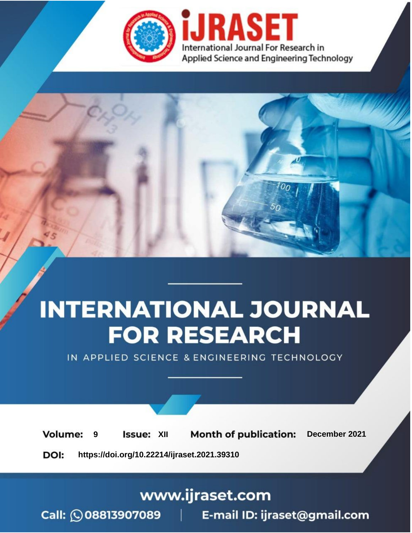

# **INTERNATIONAL JOURNAL FOR RESEARCH**

IN APPLIED SCIENCE & ENGINEERING TECHNOLOGY

**Month of publication: Volume: Issue: XII** December 2021 9 DOI: https://doi.org/10.22214/ijraset.2021.39310

www.ijraset.com

Call: 008813907089 | E-mail ID: ijraset@gmail.com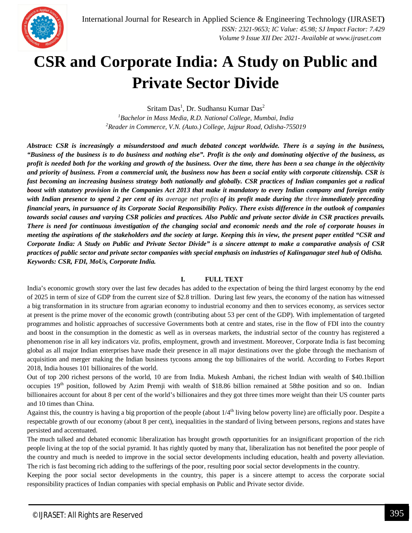

### **CSR and Corporate India: A Study on Public and Private Sector Divide**

Sritam Das $^1$ , Dr. Sudhansu Kumar Das $^2$ 

*<sup>1</sup>Bachelor in Mass Media, R.D. National College, Mumbai, India <sup>2</sup>Reader in Commerce, V.N. (Auto.) College, Jajpur Road, Odisha-755019*

*Abstract: CSR is increasingly a misunderstood and much debated concept worldwide. There is a saying in the business, "Business of the business is to do business and nothing else". Profit is the only and dominating objective of the business, as profit is needed both for the working and growth of the business. Over the time, there has been a sea change in the objectivity and priority of business. From a commercial unit, the business now has been a social entity with corporate citizenship. CSR is fast becoming an increasing business strategy both nationally and globally. CSR practices of Indian companies got a radical boost with statutory provision in the Companies Act 2013 that make it mandatory to every Indian company and foreign entity with Indian presence to spend 2 per cent of its average net profits of its profit made during the three immediately preceding financial years, in pursuance of its Corporate Social Responsibility Policy. There exists difference in the outlook of companies towards social causes and varying CSR policies and practices. Also Public and private sector divide in CSR practices prevails. There is need for continuous investigation of the changing social and economic needs and the role of corporate houses in meeting the aspirations of the stakeholders and the society at large. Keeping this in view, the present paper entitled "CSR and Corporate India: A Study on Public and Private Sector Divide" is a sincere attempt to make a comparative analysis of CSR practices of public sector and private sector companies with special emphasis on industries of Kalinganagar steel hub of Odisha. Keywords: CSR, FDI, MoUs, Corporate India.*

#### **I. FULL TEXT**

India's economic growth story over the last few decades has added to the expectation of being the third largest economy by the end of 2025 in term of size of GDP from the current size of \$2.8 trillion. During last few years, the economy of the nation has witnessed a big transformation in its structure from agrarian economy to industrial economy and then to services economy, as services sector at present is the prime mover of the economic growth (contributing about 53 per cent of the GDP). With implementation of targeted programmes and holistic approaches of successive Governments both at centre and states, rise in the flow of FDI into the country and boost in the consumption in the domestic as well as in overseas markets, the industrial sector of the country has registered a phenomenon rise in all key indicators viz. profits, employment, growth and investment. Moreover, Corporate India is fast becoming global as all major Indian enterprises have made their presence in all major destinations over the globe through the mechanism of acquisition and merger making the Indian business tycoons among the top billionaires of the world. According to Forbes Report 2018, India houses 101 billionaires of the world.

Out of top 200 richest persons of the world, 10 are from India. Mukesh Ambani, the richest Indian with wealth of \$40.1billion occupies  $19<sup>th</sup>$  position, followed by Azim Premji with wealth of \$18.86 billion remained at 58the position and so on. Indian billionaires account for about 8 per cent of the world's billionaires and they got three times more weight than their US counter parts and 10 times than China.

Against this, the country is having a big proportion of the people (about  $1/4<sup>th</sup>$  living below poverty line) are officially poor. Despite a respectable growth of our economy (about 8 per cent), inequalities in the standard of living between persons, regions and states have persisted and accentuated.

The much talked and debated economic liberalization has brought growth opportunities for an insignificant proportion of the rich people living at the top of the social pyramid. It has rightly quoted by many that, liberalization has not benefited the poor people of the country and much is needed to improve in the social sector developments including education, health and poverty alleviation. The rich is fast becoming rich adding to the sufferings of the poor, resulting poor social sector developments in the country.

Keeping the poor social sector developments in the country, this paper is a sincere attempt to access the corporate social responsibility practices of Indian companies with special emphasis on Public and Private sector divide.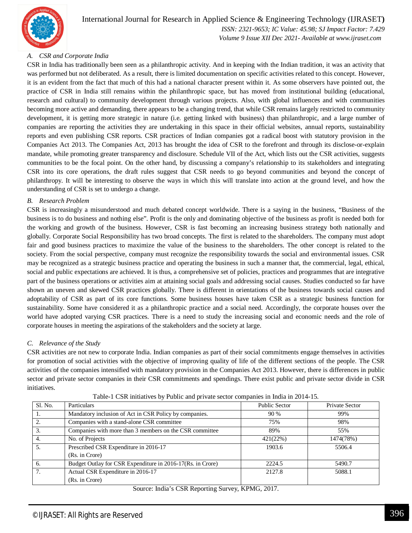

#### *A. CSR and Corporate India*

CSR in India has traditionally been seen as a philanthropic activity. And in keeping with the Indian tradition, it was an activity that was performed but not deliberated. As a result, there is limited documentation on specific activities related to this concept. However, it is an evident from the fact that much of this had a national character present within it. As some observers have pointed out, the practice of CSR in India still remains within the philanthropic space, but has moved from institutional building (educational, research and cultural) to community development through various projects. Also, with global influences and with communities becoming more active and demanding, there appears to be a changing trend, that while CSR remains largely restricted to community development, it is getting more strategic in nature (i.e. getting linked with business) than philanthropic, and a large number of companies are reporting the activities they are undertaking in this space in their official websites, annual reports, sustainability reports and even publishing CSR reports. CSR practices of Indian companies got a radical boost with statutory provision in the Companies Act 2013. The Companies Act, 2013 has brought the idea of CSR to the forefront and through its disclose-or-explain mandate, while promoting greater transparency and disclosure. Schedule VII of the Act, which lists out the CSR activities, suggests communities to be the focal point. On the other hand, by discussing a company's relationship to its stakeholders and integrating CSR into its core operations, the draft rules suggest that CSR needs to go beyond communities and beyond the concept of philanthropy. It will be interesting to observe the ways in which this will translate into action at the ground level, and how the understanding of CSR is set to undergo a change.

#### *B. Research Problem*

CSR is increasingly a misunderstood and much debated concept worldwide. There is a saying in the business, "Business of the business is to do business and nothing else". Profit is the only and dominating objective of the business as profit is needed both for the working and growth of the business. However, CSR is fast becoming an increasing business strategy both nationally and globally. Corporate Social Responsibility has two broad concepts. The first is related to the shareholders. The company must adopt fair and good business practices to maximize the value of the business to the shareholders. The other concept is related to the society. From the social perspective, company must recognize the responsibility towards the social and environmental issues. CSR may be recognized as a strategic business practice and operating the business in such a manner that, the commercial, legal, ethical, social and public expectations are achieved. It is thus, a comprehensive set of policies, practices and programmes that are integrative part of the business operations or activities aim at attaining social goals and addressing social causes. Studies conducted so far have shown an uneven and skewed CSR practices globally. There is different in orientations of the business towards social causes and adoptability of CSR as part of its core functions. Some business houses have taken CSR as a strategic business function for sustainability. Some have considered it as a philanthropic practice and a social need. Accordingly, the corporate houses over the world have adopted varying CSR practices. There is a need to study the increasing social and economic needs and the role of corporate houses in meeting the aspirations of the stakeholders and the society at large.

#### *C. Relevance of the Study*

CSR activities are not new to corporate India. Indian companies as part of their social commitments engage themselves in activities for promotion of social activities with the objective of improving quality of life of the different sections of the people. The CSR activities of the companies intensified with mandatory provision in the Companies Act 2013. However, there is differences in public sector and private sector companies in their CSR commitments and spendings. There exist public and private sector divide in CSR initiatives.

| Sl. No. | Particulars                                                | <b>Public Sector</b> | Private Sector |
|---------|------------------------------------------------------------|----------------------|----------------|
|         | Mandatory inclusion of Act in CSR Policy by companies.     | 90 %                 | 99%            |
|         | Companies with a stand-alone CSR committee                 | 75%                  | 98%            |
|         | Companies with more than 3 members on the CSR committee    | 89%                  | 55%            |
| 4.      | No. of Projects                                            | 421(22%)             | 1474(78%)      |
|         | Prescribed CSR Expenditure in 2016-17                      | 1903.6               | 5506.4         |
|         | (Rs. in Crore)                                             |                      |                |
| 6.      | Budget Outlay for CSR Expenditure in 2016-17(Rs. in Crore) | 2224.5               | 5490.7         |
|         | Actual CSR Expenditure in 2016-17                          | 2127.8               | 5088.1         |
|         | (Rs. in Crore)                                             |                      |                |

Table-1 CSR initiatives by Public and private sector companies in India in 2014-15.

Source: India's CSR Reporting Survey, KPMG, 2017.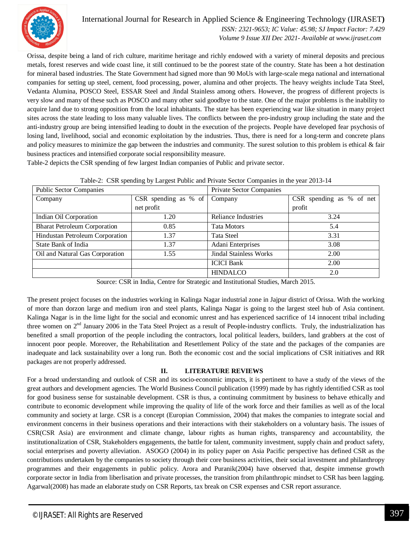

#### International Journal for Research in Applied Science & Engineering Technology (IJRASET**)**

 *ISSN: 2321-9653; IC Value: 45.98; SJ Impact Factor: 7.429 Volume 9 Issue XII Dec 2021- Available at www.ijraset.com*

Orissa, despite being a land of rich culture, maritime heritage and richly endowed with a variety of mineral deposits and precious metals, forest reserves and wide coast line, it still continued to be the poorest state of the country. State has been a hot destination for mineral based industries. The State Government had signed more than 90 MoUs with large-scale mega national and international companies for setting up steel, cement, food processing, power, alumina and other projects. The heavy weights include Tata Steel, Vedanta Alumina, POSCO Steel, ESSAR Steel and Jindal Stainless among others. However, the progress of different projects is very slow and many of these such as POSCO and many other said goodbye to the state. One of the major problems is the inability to acquire land due to strong opposition from the local inhabitants. The state has been experiencing war like situation in many project sites across the state leading to loss many valuable lives. The conflicts between the pro-industry group including the state and the anti-industry group are being intensified leading to doubt in the execution of the projects. People have developed fear psychosis of losing land, livelihood, social and economic exploitation by the industries. Thus, there is need for a long-term and concrete plans and policy measures to minimize the gap between the industries and community. The surest solution to this problem is ethical & fair business practices and intensified corporate social responsibility measure.

Table-2 depicts the CSR spending of few largest Indian companies of Public and private sector.

| <b>Public Sector Companies</b>      |                                | Private Sector Companies      |                          |
|-------------------------------------|--------------------------------|-------------------------------|--------------------------|
| Company                             | CSR spending as $%$ of Company |                               | CSR spending as % of net |
|                                     | net profit                     |                               | profit                   |
| Indian Oil Corporation              | l.20                           | Reliance Industries           | 3.24                     |
| <b>Bharat Petroleum Corporation</b> | 0.85                           | Tata Motors                   | 5.4                      |
| Hindustan Petroleum Corporation     | 1.37                           | Tata Steel                    | 3.31                     |
| State Bank of India                 | 1.37                           | Adani Enterprises             | 3.08                     |
| Oil and Natural Gas Corporation     | 1.55                           | <b>Jindal Stainless Works</b> | 2.00                     |
|                                     |                                | <b>ICICI Bank</b>             | 2.00                     |
|                                     |                                | <b>HINDALCO</b>               | 2.0                      |

Source: CSR in India, Centre for Strategic and Institutional Studies, March 2015.

The present project focuses on the industries working in Kalinga Nagar industrial zone in Jajpur district of Orissa. With the working of more than dorzon large and medium iron and steel plants, Kalinga Nagar is going to the largest steel hub of Asia continent. Kalinga Nagar is in the lime light for the social and economic unrest and has experienced sacrifice of 14 innocent tribal including three women on  $2<sup>nd</sup>$  January 2006 in the Tata Steel Project as a result of People-industry conflicts. Truly, the industrialization has benefited a small proportion of the people including the contractors, local political leaders, builders, land grabbers at the cost of innocent poor people. Moreover, the Rehabilitation and Resettlement Policy of the state and the packages of the companies are inadequate and lack sustainability over a long run. Both the economic cost and the social implications of CSR initiatives and RR packages are not properly addressed.

#### **II. LITERATURE REVIEWS**

For a broad understanding and outlook of CSR and its socio-economic impacts, it is pertinent to have a study of the views of the great authors and development agencies. The World Business Council publication (1999) made by has rightly identified CSR as tool for good business sense for sustainable development. CSR is thus, a continuing commitment by business to behave ethically and contribute to economic development while improving the quality of life of the work force and their families as well as of the local community and society at large. CSR is a concept (Europian Commission, 2004) that makes the companies to integrate social and environment concerns in their business operations and their interactions with their stakeholders on a voluntary basis. The issues of CSR(CSR Asia) are environment and climate change, labour rights as human rights, transparency and accountability, the institutionalization of CSR, Stakeholders engagements, the battle for talent, community investment, supply chain and product safety, social enterprises and poverty alleviation. ASOGO (2004) in its policy paper on Asia Pacific perspective has defined CSR as the contributions undertaken by the companies to society through their core business activities, their social investment and philanthropy programmes and their engagements in public policy. Arora and Puranik(2004) have observed that, despite immense growth corporate sector in India from liberlisation and private processes, the transition from philanthropic mindset to CSR has been lagging. Agarwal(2008) has made an elaborate study on CSR Reports, tax break on CSR expenses and CSR report assurance.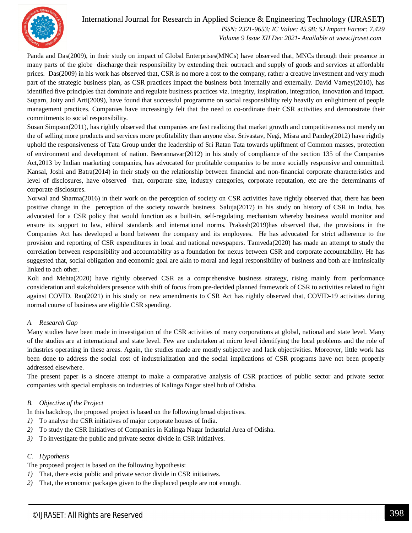

#### International Journal for Research in Applied Science & Engineering Technology (IJRASET**)**  *ISSN: 2321-9653; IC Value: 45.98; SJ Impact Factor: 7.429 Volume 9 Issue XII Dec 2021- Available at www.ijraset.com*

Panda and Das(2009), in their study on impact of Global Enterprises(MNCs) have observed that, MNCs through their presence in many parts of the globe discharge their responsibility by extending their outreach and supply of goods and services at affordable prices. Das(2009) in his work has observed that, CSR is no more a cost to the company, rather a creative investment and very much part of the strategic business plan, as CSR practices impact the business both internally and externally. David Varney(2010), has identified five principles that dominate and regulate business practices viz. integrity, inspiration, integration, innovation and impact. Suparn, Joity and Arti(2009), have found that successful programme on social responsibility rely heavily on enlightment of people management practices. Companies have increasingly felt that the need to co-ordinate their CSR activities and demonstrate their commitments to social responsibility.

Susan Simpson(2011), has rightly observed that companies are fast realizing that market growth and competitiveness not merely on the of selling more products and services more profitability than anyone else. Srivastav, Negi, Misra and Pandey(2012) have rightly uphold the responsiveness of Tata Group under the leadership of Sri Ratan Tata towards upliftment of Common masses, protection of environment and development of nation. Beerannavar(2012) in his study of compliance of the section 135 of the Companies Act,2013 by Indian marketing companies, has advocated for profitable companies to be more socially responsive and committed. Kansal, Joshi and Batra(2014) in their study on the relationship between financial and non-financial corporate characteristics and level of disclosures, have observed that, corporate size, industry categories, corporate reputation, etc are the determinants of corporate disclosures.

Norwal and Sharma(2016) in their work on the perception of society on CSR activities have rightly observed that, there has been positive change in the perception of the society towards business. Saluja(2017) in his study on history of CSR in India, has advocated for a CSR policy that would function as a built-in, self-regulating mechanism whereby business would monitor and ensure its support to law, ethical standards and international norms. Prakash(2019)has observed that, the provisions in the Companies Act has developed a bond between the company and its employees. He has advocated for strict adherence to the provision and reporting of CSR expenditures in local and national newspapers. Tamveda(2020) has made an attempt to study the correlation between responsibility and accountability as a foundation for nexus between CSR and corporate accountability. He has suggested that, social obligation and economic goal are akin to moral and legal responsibility of business and both are intrinsically linked to ach other.

Koli and Mehta(2020) have rightly observed CSR as a comprehensive business strategy, rising mainly from performance consideration and stakeholders presence with shift of focus from pre-decided planned framework of CSR to activities related to fight against COVID. Rao(2021) in his study on new amendments to CSR Act has rightly observed that, COVID-19 activities during normal course of business are eligible CSR spending.

#### *A. Research Gap*

Many studies have been made in investigation of the CSR activities of many corporations at global, national and state level. Many of the studies are at international and state level. Few are undertaken at micro level identifying the local problems and the role of industries operating in these areas. Again, the studies made are mostly subjective and lack objectivities. Moreover, little work has been done to address the social cost of industrialization and the social implications of CSR programs have not been properly addressed elsewhere.

The present paper is a sincere attempt to make a comparative analysis of CSR practices of public sector and private sector companies with special emphasis on industries of Kalinga Nagar steel hub of Odisha.

#### *B. Objective of the Project*

In this backdrop, the proposed project is based on the following broad objectives.

- *1)* To analyse the CSR initiatives of major corporate houses of India.
- *2)* To study the CSR Initiatives of Companies in Kalinga Nagar Industrial Area of Odisha.
- *3)* To investigate the public and private sector divide in CSR initiatives.

#### *C. Hypothesis*

The proposed project is based on the following hypothesis:

- *1)* That, there exist public and private sector divide in CSR initiatives.
- *2)* That, the economic packages given to the displaced people are not enough.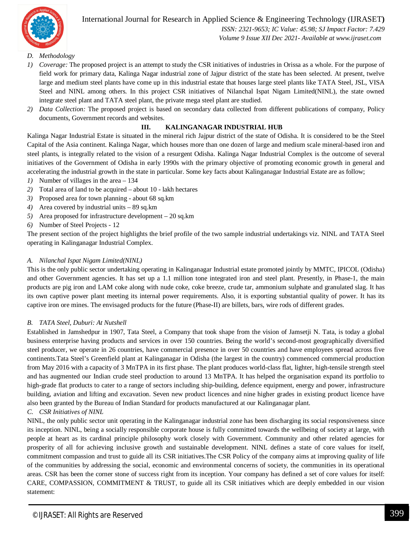

 *Volume 9 Issue XII Dec 2021- Available at www.ijraset.com*

#### *D. Methodology*

- *1) Coverage:* The proposed project is an attempt to study the CSR initiatives of industries in Orissa as a whole. For the purpose of field work for primary data, Kalinga Nagar industrial zone of Jajpur district of the state has been selected. At present, twelve large and medium steel plants have come up in this industrial estate that houses large steel plants like TATA Steel, JSL, VISA Steel and NINL among others. In this project CSR initiatives of Nilanchal Ispat Nigam Limited(NINL), the state owned integrate steel plant and TATA steel plant, the private mega steel plant are studied.
- *2) Data Collection:* The proposed project is based on secondary data collected from different publications of company, Policy documents, Government records and websites.

#### **III. KALINGANAGAR INDUSTRIAL HUB**

Kalinga Nagar Industrial Estate is situated in the mineral rich Jajpur district of the state of Odisha. It is considered to be the Steel Capital of the Asia continent. Kalinga Nagar, which houses more than one dozen of large and medium scale mineral-based iron and steel plants, is integrally related to the vision of a resurgent Odisha. Kalinga Nagar Industrial Complex is the outcome of several initiatives of the Government of Odisha in early 1990s with the primary objective of promoting economic growth in general and accelerating the industrial growth in the state in particular. Some key facts about Kalinganagar Industrial Estate are as follow;

- *1)* Number of villages in the area 134
- *2)* Total area of land to be acquired about 10 lakh hectares
- *3)* Proposed area for town planning about 68 sq.km
- *4)* Area covered by industrial units 89 sq.km
- *5)* Area proposed for infrastructure development 20 sq.km
- *6)* Number of Steel Projects 12

The present section of the project highlights the brief profile of the two sample industrial undertakings viz. NINL and TATA Steel operating in Kalinganagar Industrial Complex.

#### *A. Nilanchal Ispat Nigam Limited(NINL)*

This is the only public sector undertaking operating in Kalinganagar Industrial estate promoted jointly by MMTC, IPICOL (Odisha) and other Government agencies. It has set up a 1.1 million tone integrated iron and steel plant. Presently, in Phase-1, the main products are pig iron and LAM coke along with nude coke, coke breeze, crude tar, ammonium sulphate and granulated slag. It has its own captive power plant meeting its internal power requirements. Also, it is exporting substantial quality of power. It has its captive iron ore mines. The envisaged products for the future (Phase-II) are billets, bars, wire rods of different grades.

#### *B. TATA Steel, Duburi: At Nutshell*

Established in Jamshedpur in 1907, Tata Steel, a Company that took shape from the vision of Jamsetji N. Tata, is today a global business enterprise having products and services in over 150 countries. Being the world's second-most geographically diversified steel producer, we operate in 26 countries, have commercial presence in over 50 countries and have employees spread across five continents.Tata Steel's Greenfield plant at Kalinganagar in Odisha (the largest in the country) commenced commercial production from May 2016 with a capacity of 3 MnTPA in its first phase. The plant produces world-class flat, lighter, high-tensile strength steel and has augmented our Indian crude steel production to around 13 MnTPA. It has helped the organisation expand its portfolio to high-grade flat products to cater to a range of sectors including ship-building, defence equipment, energy and power, infrastructure building, aviation and lifting and excavation. Seven new product licences and nine higher grades in existing product licence have also been granted by the Bureau of Indian Standard for products manufactured at our Kalinganagar plant.

#### *C. CSR Initiatives of NINL*

NINL, the only public sector unit operating in the Kalinganagar industrial zone has been discharging its social responsiveness since its inception. NINL, being a socially responsible corporate house is fully committed towards the wellbeing of society at large, with people at heart as its cardinal principle philosophy work closely with Government. Community and other related agencies for prosperity of all for achieving inclusive growth and sustainable development. NINL defines a state of core values for itself, commitment compassion and trust to guide all its CSR initiatives.The CSR Policy of the company aims at improving quality of life of the communities by addressing the social, economic and environmental concerns of society, the communities in its operational areas. CSR has been the corner stone of success right from its inception. Your company has defined a set of core values for itself: CARE, COMPASSION, COMMITMENT & TRUST, to guide all its CSR initiatives which are deeply embedded in our vision statement: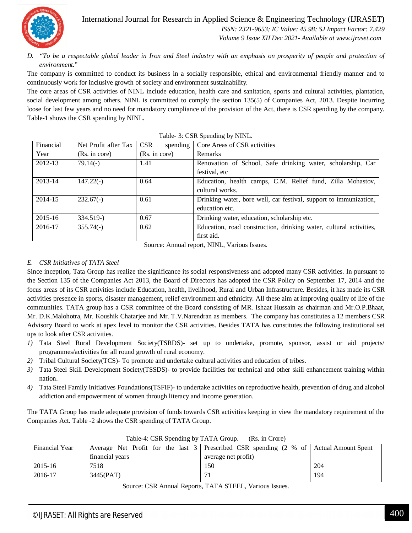International Journal for Research in Applied Science & Engineering Technology (IJRASET**)**

 *ISSN: 2321-9653; IC Value: 45.98; SJ Impact Factor: 7.429 Volume 9 Issue XII Dec 2021- Available at www.ijraset.com*

*D. "To be a respectable global leader in Iron and Steel industry with an emphasis on prosperity of people and protection of environment.*"

The company is committed to conduct its business in a socially responsible, ethical and environmental friendly manner and to continuously work for inclusive growth of society and environment sustainability.

The core areas of CSR activities of NINL include education, health care and sanitation, sports and cultural activities, plantation, social development among others. NINL is committed to comply the section 135(5) of Companies Act, 2013. Despite incurring loose for last few years and no need for mandatory compliance of the provision of the Act, there is CSR spending by the company. Table-1 shows the CSR spending by NINL.

| Financial | Net Profit after Tax | <b>CSR</b><br>spending | Core Areas of CSR activities                                       |
|-----------|----------------------|------------------------|--------------------------------------------------------------------|
| Year      | (Rs. in core)        | (Rs. in core)          | Remarks                                                            |
| 2012-13   | $79.14(-)$           | 1.41                   | Renovation of School, Safe drinking water, scholarship, Car        |
|           |                      |                        | festival, etc                                                      |
| 2013-14   | $147.22(-)$          | 0.64                   | Education, health camps, C.M. Relief fund, Zilla Mohastov,         |
|           |                      |                        | cultural works.                                                    |
| 2014-15   | $232.67(-)$          | 0.61                   | Drinking water, bore well, car festival, support to immunization,  |
|           |                      |                        | education etc.                                                     |
| 2015-16   | $334.519-$           | 0.67                   | Drinking water, education, scholarship etc.                        |
| 2016-17   | $355.74(-)$          | 0.62                   | Education, road construction, drinking water, cultural activities, |
|           |                      |                        | first aid.                                                         |

|  |  |  | Table- 3: CSR Spending by NINL. |
|--|--|--|---------------------------------|
|--|--|--|---------------------------------|

Source: Annual report, NINL, Various Issues.

#### *E. CSR Initiatives of TATA Steel*

Since inception, Tata Group has realize the significance its social responsiveness and adopted many CSR activities. In pursuant to the Section 135 of the Companies Act 2013, the Board of Directors has adopted the CSR Policy on September 17, 2014 and the focus areas of its CSR activities include Education, health, livelihood, Rural and Urban Infrastructure. Besides, it has made its CSR activities presence in sports, disaster management, relief environment and ethnicity. All these aim at improving quality of life of the communities. TATA group has a CSR committee of the Board consisting of MR. Ishaat Hussain as chairman and Mr.O.P.Bhaat, Mr. D.K.Malohotra, Mr. Koushik Chatarjee and Mr. T.V.Narendran as members. The company has constitutes a 12 members CSR Advisory Board to work at apex level to monitor the CSR activities. Besides TATA has constitutes the following institutional set ups to look after CSR activities.

- *1)* Tata Steel Rural Development Society(TSRDS)- set up to undertake, promote, sponsor, assist or aid projects/ programmes/activities for all round growth of rural economy.
- *2)* Tribal Cultural Society(TCS)- To promote and undertake cultural activities and education of tribes.
- *3)* Tata Steel Skill Development Society(TSSDS)- to provide facilities for technical and other skill enhancement training within nation.
- *4)* Tata Steel Family Initiatives Foundations(TSFIF)- to undertake activities on reproductive health, prevention of drug and alcohol addiction and empowerment of women through literacy and income generation.

The TATA Group has made adequate provision of funds towards CSR activities keeping in view the mandatory requirement of the Companies Act. Table -2 shows the CSR spending of TATA Group.

| $1$ ave $-4$ . CSN Spending by $1A1A$ Oroup. (NS. In Croic) |                                                                                                                       |                     |     |
|-------------------------------------------------------------|-----------------------------------------------------------------------------------------------------------------------|---------------------|-----|
| <b>Financial Year</b>                                       | Average Net Profit for the last $3 \mid$ Prescribed CSR spending $(2 \% \text{ of } \mid \text{Actual Amount Spent})$ |                     |     |
|                                                             | financial years                                                                                                       | average net profit) |     |
| 2015-16                                                     | 7518                                                                                                                  | 150                 | 204 |
| 2016-17                                                     | 3445(PAT)                                                                                                             |                     | 194 |

Table-4: CSR Spending by TATA Group. (Rs. in Crore)

Source: CSR Annual Reports, TATA STEEL, Various Issues.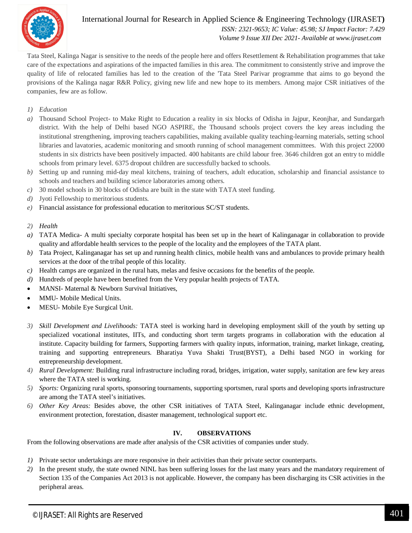

#### International Journal for Research in Applied Science & Engineering Technology (IJRASET**)**  *ISSN: 2321-9653; IC Value: 45.98; SJ Impact Factor: 7.429 Volume 9 Issue XII Dec 2021- Available at www.ijraset.com*

Tata Steel, Kalinga Nagar is sensitive to the needs of the people here and offers Resettlement & Rehabilitation programmes that take care of the expectations and aspirations of the impacted families in this area. The commitment to consistently strive and improve the quality of life of relocated families has led to the creation of the 'Tata Steel Parivar programme that aims to go beyond the provisions of the Kalinga nagar R&R Policy, giving new life and new hope to its members. Among major CSR initiatives of the companies, few are as follow.

- *1) Education*
- *a)* Thousand School Project- to Make Right to Education a reality in six blocks of Odisha in Jajpur, Keonjhar, and Sundargarh district. With the help of Delhi based NGO ASPIRE, the Thousand schools project covers the key areas including the institutional strengthening, improving teachers capabilities, making available quality teaching-learning materials, setting school libraries and lavatories, academic monitoring and smooth running of school management committees. With this project 22000 students in six districts have been positively impacted. 400 habitants are child labour free. 3646 children got an entry to middle schools from primary level. 6375 dropout children are successfully backed to schools.
- *b)* Setting up and running mid-day meal kitchens, training of teachers, adult education, scholarship and financial assistance to schools and teachers and building science laboratories among others.
- *c)* 30 model schools in 30 blocks of Odisha are built in the state with TATA steel funding.
- *d)* Jyoti Fellowship to meritorious students.
- *e)* Financial assistance for professional education to meritorious SC/ST students.

#### *2) Health*

- *a)* TATA Medica- A multi specialty corporate hospital has been set up in the heart of Kalinganagar in collaboration to provide quality and affordable health services to the people of the locality and the employees of the TATA plant.
- *b)* Tata Project, Kalinganagar has set up and running health clinics, mobile health vans and ambulances to provide primary health services at the door of the tribal people of this locality.
- *c)* Health camps are organized in the rural hats, melas and fesive occasions for the benefits of the people.
- *d)* Hundreds of people have been benefited from the Very popular health projects of TATA.
- MANSI- Maternal & Newborn Survival Initiatives,
- MMU- Mobile Medical Units.
- MESU- Mobile Eye Surgical Unit.
- *3) Skill Development and Livelihoods:* TATA steel is working hard in developing employment skill of the youth by setting up specialized vocational institutes, IITs, and conducting short term targets programs in collaboration with the education al institute. Capacity building for farmers, Supporting farmers with quality inputs, information, training, market linkage, creating, training and supporting entrepreneurs. Bharatiya Yuva Shakti Trust(BYST), a Delhi based NGO in working for entrepreneurship development.
- *4) Rural Development:* Building rural infrastructure including rorad, bridges, irrigation, water supply, sanitation are few key areas where the TATA steel is working.
- *5) Sports:* Organizing rural sports, sponsoring tournaments, supporting sportsmen, rural sports and developing sports infrastructure are among the TATA steel's initiatives.
- *6) Other Key Areas:* Besides above, the other CSR initiatives of TATA Steel, Kalinganagar include ethnic development, environment protection, forestation, disaster management, technological support etc.

#### **IV. OBSERVATIONS**

From the following observations are made after analysis of the CSR activities of companies under study.

- *1)* Private sector undertakings are more responsive in their activities than their private sector counterparts.
- *2)* In the present study, the state owned NINL has been suffering losses for the last many years and the mandatory requirement of Section 135 of the Companies Act 2013 is not applicable. However, the company has been discharging its CSR activities in the peripheral areas.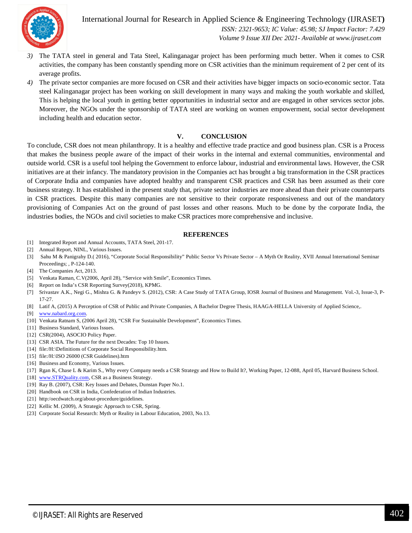

International Journal for Research in Applied Science & Engineering Technology (IJRASET**)**  *ISSN: 2321-9653; IC Value: 45.98; SJ Impact Factor: 7.429 Volume 9 Issue XII Dec 2021- Available at www.ijraset.com*

- *3)* The TATA steel in general and Tata Steel, Kalinganagar project has been performing much better. When it comes to CSR activities, the company has been constantly spending more on CSR activities than the minimum requirement of 2 per cent of its average profits.
- *4)* The private sector companies are more focused on CSR and their activities have bigger impacts on socio-economic sector. Tata steel Kalinganagar project has been working on skill development in many ways and making the youth workable and skilled, This is helping the local youth in getting better opportunities in industrial sector and are engaged in other services sector jobs. Moreover, the NGOs under the sponsorship of TATA steel are working on women empowerment, social sector development including health and education sector.

#### **V. CONCLUSION**

To conclude, CSR does not mean philanthropy. It is a healthy and effective trade practice and good business plan. CSR is a Process that makes the business people aware of the impact of their works in the internal and external communities, environmental and outside world. CSR is a useful tool helping the Government to enforce labour, industrial and environmental laws. However, the CSR initiatives are at their infancy. The mandatory provision in the Companies act has brought a big transformation in the CSR practices of Corporate India and companies have adopted healthy and transparent CSR practices and CSR has been assumed as their core business strategy. It has established in the present study that, private sector industries are more ahead than their private counterparts in CSR practices. Despite this many companies are not sensitive to their corporate responsiveness and out of the mandatory provisioning of Companies Act on the ground of past losses and other reasons. Much to be done by the corporate India, the industries bodies, the NGOs and civil societies to make CSR practices more comprehensive and inclusive.

#### **REFERENCES**

- [1] Integrated Report and Annual Accounts, TATA Steel, 201-17.
- [2] Annual Report, NINL, Various Issues.
- [3] Sahu M & Panigrahy D.( 2016), "Corporate Social Responsibility" Public Sector Vs Private Sector A Myth Or Reality, XVII Annual International Seminar Proceedings; , P-124-140.
- [4] The Companies Act, 2013.
- [5] Venkata Raman, C.V(2006, April 28), "Service with Smile", Economics Times.
- [6] Report on India's CSR Reporting Survey(2018), KPMG.
- [7] Srivastav A.K., Negi G., Mishra G. & Pandeyv S. (2012), CSR: A Case Study of TATA Group, IOSR Journal of Business and Management. Vol.-3, Issue-3, P-17-27.
- [8] Latif A, (2015) A Perception of CSR of Public and Private Companies, A Bachelor Degree Thesis, HAAGA-HELLA University of Applied Science,.
- [9] www.nabard.org.com.
- [10] Venkata Ratnam S, (2006 April 28), "CSR For Sustainable Development", Economics Times.
- [11] Business Standard, Various Issues.
- [12] CSR(2004), ASOCIO Policy Paper.
- [13] CSR ASIA. The Future for the next Decades: Top 10 Issues.
- [14] file:/H:\Definitions of Corporate Social Responsibility.htm.
- [15] file:/H:\ISO 26000 (CSR Guidelines).htm
- [16] Business and Economy, Various Issues.
- [17] Rgan K, Chase L & Karim S., Why every Company needs a CSR Strategy and How to Build It?, Working Paper, 12-088, April 05, Harvard Business School.
- [18] www.STRQuality.com, CSR as a Business Strategy.
- [19] Ray B. (2007), CSR: Key Issues and Debates, Dunstan Paper No.1.
- [20] Handbook on CSR in India, Confederation of Indian Industries.
- [21] http:/oecdwatch.org/about-procedure/guidelines.
- [22] Kellic M. (2009), A Strategic Approach to CSR, Spring.
- [23] Corporate Social Research: Myth or Reality in Labour Education, 2003, No.13.